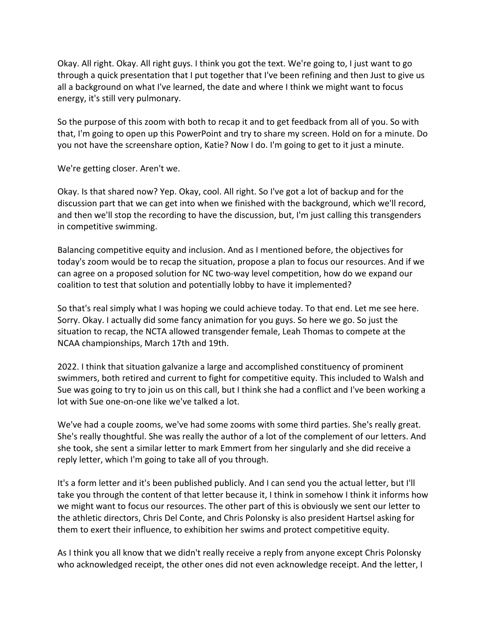Okay. All right. Okay. All right guys. I think you got the text. We're going to, I just want to go through a quick presentation that I put together that I've been refining and then Just to give us all a background on what I've learned, the date and where I think we might want to focus energy, it's still very pulmonary.

So the purpose of this zoom with both to recap it and to get feedback from all of you. So with that, I'm going to open up this PowerPoint and try to share my screen. Hold on for a minute. Do you not have the screenshare option, Katie? Now I do. I'm going to get to it just a minute.

We're getting closer. Aren't we.

Okay. Is that shared now? Yep. Okay, cool. All right. So I've got a lot of backup and for the discussion part that we can get into when we finished with the background, which we'll record, and then we'll stop the recording to have the discussion, but, I'm just calling this transgenders in competitive swimming.

Balancing competitive equity and inclusion. And as I mentioned before, the objectives for today's zoom would be to recap the situation, propose a plan to focus our resources. And if we can agree on a proposed solution for NC two-way level competition, how do we expand our coalition to test that solution and potentially lobby to have it implemented?

So that's real simply what I was hoping we could achieve today. To that end. Let me see here. Sorry. Okay. I actually did some fancy animation for you guys. So here we go. So just the situation to recap, the NCTA allowed transgender female, Leah Thomas to compete at the NCAA championships, March 17th and 19th.

2022. I think that situation galvanize a large and accomplished constituency of prominent swimmers, both retired and current to fight for competitive equity. This included to Walsh and Sue was going to try to join us on this call, but I think she had a conflict and I've been working a lot with Sue one-on-one like we've talked a lot.

We've had a couple zooms, we've had some zooms with some third parties. She's really great. She's really thoughtful. She was really the author of a lot of the complement of our letters. And she took, she sent a similar letter to mark Emmert from her singularly and she did receive a reply letter, which I'm going to take all of you through.

It's a form letter and it's been published publicly. And I can send you the actual letter, but I'll take you through the content of that letter because it, I think in somehow I think it informs how we might want to focus our resources. The other part of this is obviously we sent our letter to the athletic directors, Chris Del Conte, and Chris Polonsky is also president Hartsel asking for them to exert their influence, to exhibition her swims and protect competitive equity.

As I think you all know that we didn't really receive a reply from anyone except Chris Polonsky who acknowledged receipt, the other ones did not even acknowledge receipt. And the letter, I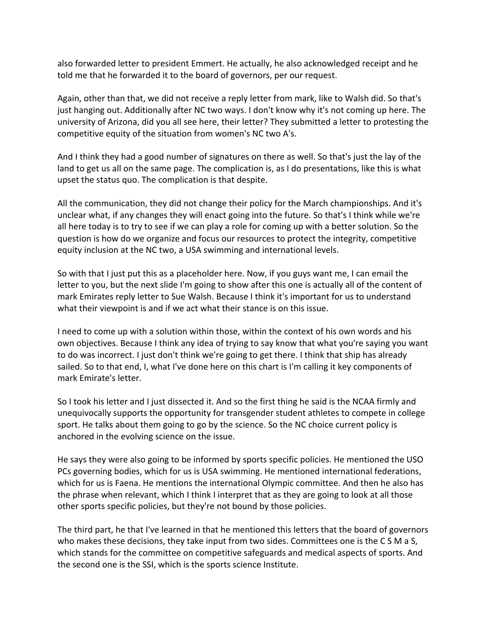also forwarded letter to president Emmert. He actually, he also acknowledged receipt and he told me that he forwarded it to the board of governors, per our request.

Again, other than that, we did not receive a reply letter from mark, like to Walsh did. So that's just hanging out. Additionally after NC two ways. I don't know why it's not coming up here. The university of Arizona, did you all see here, their letter? They submitted a letter to protesting the competitive equity of the situation from women's NC two A's.

And I think they had a good number of signatures on there as well. So that's just the lay of the land to get us all on the same page. The complication is, as I do presentations, like this is what upset the status quo. The complication is that despite.

All the communication, they did not change their policy for the March championships. And it's unclear what, if any changes they will enact going into the future. So that's I think while we're all here today is to try to see if we can play a role for coming up with a better solution. So the question is how do we organize and focus our resources to protect the integrity, competitive equity inclusion at the NC two, a USA swimming and international levels.

So with that I just put this as a placeholder here. Now, if you guys want me, I can email the letter to you, but the next slide I'm going to show after this one is actually all of the content of mark Emirates reply letter to Sue Walsh. Because I think it's important for us to understand what their viewpoint is and if we act what their stance is on this issue.

I need to come up with a solution within those, within the context of his own words and his own objectives. Because I think any idea of trying to say know that what you're saying you want to do was incorrect. I just don't think we're going to get there. I think that ship has already sailed. So to that end, I, what I've done here on this chart is I'm calling it key components of mark Emirate's letter.

So I took his letter and I just dissected it. And so the first thing he said is the NCAA firmly and unequivocally supports the opportunity for transgender student athletes to compete in college sport. He talks about them going to go by the science. So the NC choice current policy is anchored in the evolving science on the issue.

He says they were also going to be informed by sports specific policies. He mentioned the USO PCs governing bodies, which for us is USA swimming. He mentioned international federations, which for us is Faena. He mentions the international Olympic committee. And then he also has the phrase when relevant, which I think I interpret that as they are going to look at all those other sports specific policies, but they're not bound by those policies.

The third part, he that I've learned in that he mentioned this letters that the board of governors who makes these decisions, they take input from two sides. Committees one is the C S M a S, which stands for the committee on competitive safeguards and medical aspects of sports. And the second one is the SSI, which is the sports science Institute.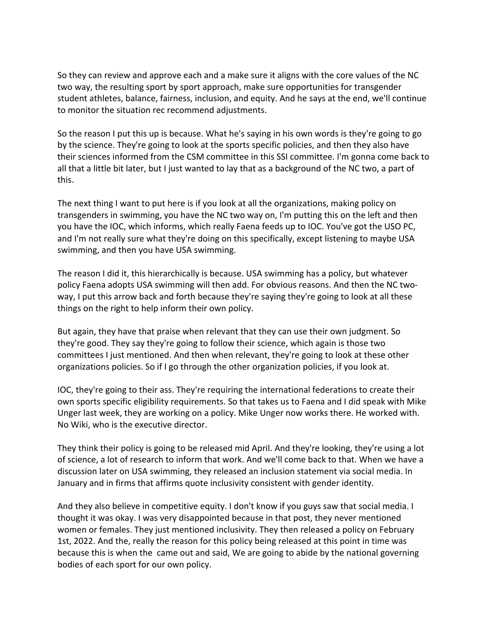So they can review and approve each and a make sure it aligns with the core values of the NC two way, the resulting sport by sport approach, make sure opportunities for transgender student athletes, balance, fairness, inclusion, and equity. And he says at the end, we'll continue to monitor the situation rec recommend adjustments.

So the reason I put this up is because. What he's saying in his own words is they're going to go by the science. They're going to look at the sports specific policies, and then they also have their sciences informed from the CSM committee in this SSI committee. I'm gonna come back to all that a little bit later, but I just wanted to lay that as a background of the NC two, a part of this.

The next thing I want to put here is if you look at all the organizations, making policy on transgenders in swimming, you have the NC two way on, I'm putting this on the left and then you have the IOC, which informs, which really Faena feeds up to IOC. You've got the USO PC, and I'm not really sure what they're doing on this specifically, except listening to maybe USA swimming, and then you have USA swimming.

The reason I did it, this hierarchically is because. USA swimming has a policy, but whatever policy Faena adopts USA swimming will then add. For obvious reasons. And then the NC twoway, I put this arrow back and forth because they're saying they're going to look at all these things on the right to help inform their own policy.

But again, they have that praise when relevant that they can use their own judgment. So they're good. They say they're going to follow their science, which again is those two committees I just mentioned. And then when relevant, they're going to look at these other organizations policies. So if I go through the other organization policies, if you look at.

IOC, they're going to their ass. They're requiring the international federations to create their own sports specific eligibility requirements. So that takes us to Faena and I did speak with Mike Unger last week, they are working on a policy. Mike Unger now works there. He worked with. No Wiki, who is the executive director.

They think their policy is going to be released mid April. And they're looking, they're using a lot of science, a lot of research to inform that work. And we'll come back to that. When we have a discussion later on USA swimming, they released an inclusion statement via social media. In January and in firms that affirms quote inclusivity consistent with gender identity.

And they also believe in competitive equity. I don't know if you guys saw that social media. I thought it was okay. I was very disappointed because in that post, they never mentioned women or females. They just mentioned inclusivity. They then released a policy on February 1st, 2022. And the, really the reason for this policy being released at this point in time was because this is when the came out and said, We are going to abide by the national governing bodies of each sport for our own policy.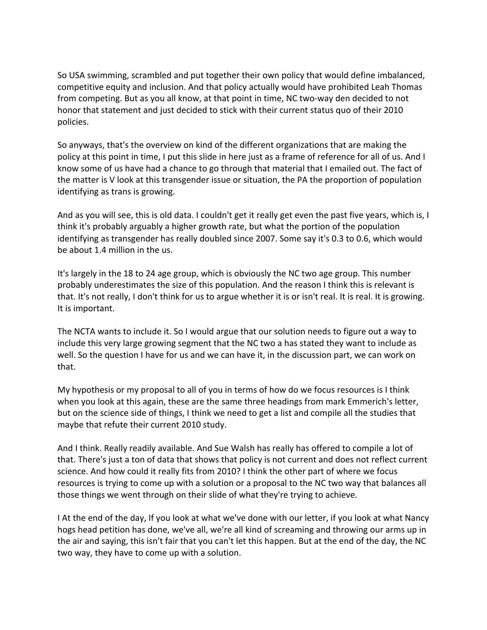So USA swimming, scrambled and put together their own policy that would define imbalanced, competitive equity and inclusion. And that policy actually would have prohibited Leah Thomas from competing. But as you all know, at that point in time, NC two-way den decided to not honor that statement and just decided to stick with their current status quo of their 2010 policies.

So anyways, that's the overview on kind of the different organizations that are making the policy at this point in time, I put this slide in here just as a frame of reference for all of us. And I know some of us have had a chance to go through that material that I emailed out. The fact of the matter is V look at this transgender issue or situation, the PA the proportion of population identifying as trans is growing.

And as you will see, this is old data. I couldn't get it really get even the past five years, which is, I think it's probably arguably a higher growth rate, but what the portion of the population identifying as transgender has really doubled since 2007. Some say it's 0.3 to 0.6, which would be about 1.4 million in the us.

It's largely in the 18 to 24 age group, which is obviously the NC two age group. This number probably underestimates the size of this population. And the reason I think this is relevant is that. It's not really, I don't think for us to argue whether it is or isn't real. It is real. It is growing. It is important.

The NCTA wants to include it. So I would argue that our solution needs to figure out a way to include this very large growing segment that the NC two a has stated they want to include as well. So the question I have for us and we can have it, in the discussion part, we can work on that.

My hypothesis or my proposal to all of you in terms of how do we focus resources is I think when you look at this again, these are the same three headings from mark Emmerich's letter, but on the science side of things, I think we need to get a list and compile all the studies that maybe that refute their current 2010 study.

And I think. Really readily available. And Sue Walsh has really has offered to compile a lot of that. There's just a ton of data that shows that policy is not current and does not reflect current science. And how could it really fits from 2010? I think the other part of where we focus resources is trying to come up with a solution or a proposal to the NC two way that balances all those things we went through on their slide of what they're trying to achieve.

I At the end of the day, If you look at what we've done with our letter, if you look at what Nancy hogs head petition has done, we've all, we're all kind of screaming and throwing our arms up in the air and saying, this isn't fair that you can't let this happen. But at the end of the day, the NC two way, they have to come up with a solution.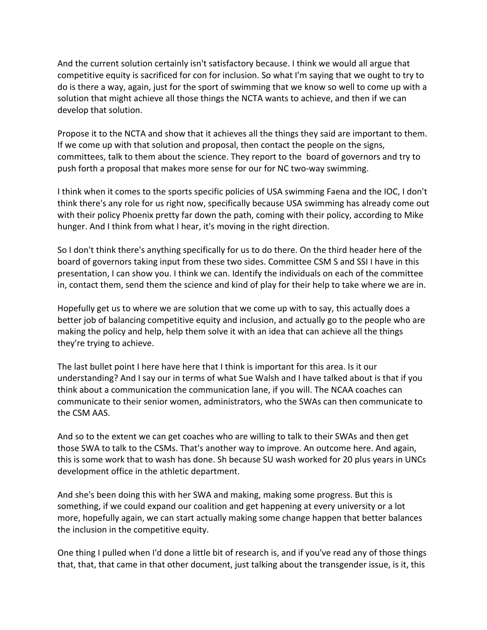And the current solution certainly isn't satisfactory because. I think we would all argue that competitive equity is sacrificed for con for inclusion. So what I'm saying that we ought to try to do is there a way, again, just for the sport of swimming that we know so well to come up with a solution that might achieve all those things the NCTA wants to achieve, and then if we can develop that solution.

Propose it to the NCTA and show that it achieves all the things they said are important to them. If we come up with that solution and proposal, then contact the people on the signs, committees, talk to them about the science. They report to the board of governors and try to push forth a proposal that makes more sense for our for NC two-way swimming.

I think when it comes to the sports specific policies of USA swimming Faena and the IOC, I don't think there's any role for us right now, specifically because USA swimming has already come out with their policy Phoenix pretty far down the path, coming with their policy, according to Mike hunger. And I think from what I hear, it's moving in the right direction.

So I don't think there's anything specifically for us to do there. On the third header here of the board of governors taking input from these two sides. Committee CSM S and SSI I have in this presentation, I can show you. I think we can. Identify the individuals on each of the committee in, contact them, send them the science and kind of play for their help to take where we are in.

Hopefully get us to where we are solution that we come up with to say, this actually does a better job of balancing competitive equity and inclusion, and actually go to the people who are making the policy and help, help them solve it with an idea that can achieve all the things they're trying to achieve.

The last bullet point I here have here that I think is important for this area. Is it our understanding? And I say our in terms of what Sue Walsh and I have talked about is that if you think about a communication the communication lane, if you will. The NCAA coaches can communicate to their senior women, administrators, who the SWAs can then communicate to the CSM AAS.

And so to the extent we can get coaches who are willing to talk to their SWAs and then get those SWA to talk to the CSMs. That's another way to improve. An outcome here. And again, this is some work that to wash has done. Sh because SU wash worked for 20 plus years in UNCs development office in the athletic department.

And she's been doing this with her SWA and making, making some progress. But this is something, if we could expand our coalition and get happening at every university or a lot more, hopefully again, we can start actually making some change happen that better balances the inclusion in the competitive equity.

One thing I pulled when I'd done a little bit of research is, and if you've read any of those things that, that, that came in that other document, just talking about the transgender issue, is it, this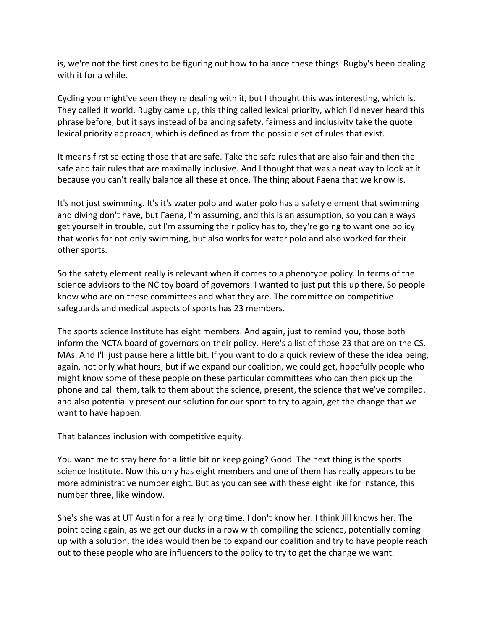is, we're not the first ones to be figuring out how to balance these things. Rugby's been dealing with it for a while.

Cycling you might've seen they're dealing with it, but I thought this was interesting, which is. They called it world. Rugby came up, this thing called lexical priority, which I'd never heard this phrase before, but it says instead of balancing safety, fairness and inclusivity take the quote lexical priority approach, which is defined as from the possible set of rules that exist.

It means first selecting those that are safe. Take the safe rules that are also fair and then the safe and fair rules that are maximally inclusive. And I thought that was a neat way to look at it because you can't really balance all these at once. The thing about Faena that we know is.

It's not just swimming. It's it's water polo and water polo has a safety element that swimming and diving don't have, but Faena, I'm assuming, and this is an assumption, so you can always get yourself in trouble, but I'm assuming their policy has to, they're going to want one policy that works for not only swimming, but also works for water polo and also worked for their other sports.

So the safety element really is relevant when it comes to a phenotype policy. In terms of the science advisors to the NC toy board of governors. I wanted to just put this up there. So people know who are on these committees and what they are. The committee on competitive safeguards and medical aspects of sports has 23 members.

The sports science Institute has eight members. And again, just to remind you, those both inform the NCTA board of governors on their policy. Here's a list of those 23 that are on the CS. MAs. And I'll just pause here a little bit. If you want to do a quick review of these the idea being, again, not only what hours, but if we expand our coalition, we could get, hopefully people who might know some of these people on these particular committees who can then pick up the phone and call them, talk to them about the science, present, the science that we've compiled, and also potentially present our solution for our sport to try to again, get the change that we want to have happen.

That balances inclusion with competitive equity.

You want me to stay here for a little bit or keep going? Good. The next thing is the sports science Institute. Now this only has eight members and one of them has really appears to be more administrative number eight. But as you can see with these eight like for instance, this number three, like window.

She's she was at UT Austin for a really long time. I don't know her. I think Jill knows her. The point being again, as we get our ducks in a row with compiling the science, potentially coming up with a solution, the idea would then be to expand our coalition and try to have people reach out to these people who are influencers to the policy to try to get the change we want.